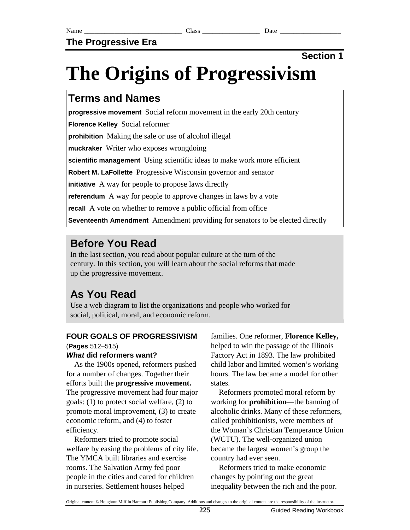## **Section 1**

# **The Origins of Progressivism**

## **Terms and Names**

**progressive movement** Social reform movement in the early 20th century

**Florence Kelley** Social reformer

**prohibition** Making the sale or use of alcohol illegal

**muckraker** Writer who exposes wrongdoing

**scientific management** Using scientific ideas to make work more efficient

**Robert M. LaFollette** Progressive Wisconsin governor and senator

**initiative** A way for people to propose laws directly

**referendum** A way for people to approve changes in laws by a vote

**recall** A vote on whether to remove a public official from office

**Seventeenth Amendment** Amendment providing for senators to be elected directly

## **Before You Read**

In the last section, you read about popular culture at the turn of the century. In this section, you will learn about the social reforms that made up the progressive movement.

## **As You Read**

Use a web diagram to list the organizations and people who worked for social, political, moral, and economic reform.

### **FOUR GOALS OF PROGRESSIVISM**

#### (**Pages** 512–515) **What did reformers want?**

As the 1900s opened, reformers pushed for a number of changes. Together their efforts built the **progressive movement.** The progressive movement had four major goals: (1) to protect social welfare, (2) to promote moral improvement, (3) to create economic reform, and (4) to foster efficiency.

Reformers tried to promote social welfare by easing the problems of city life. The YMCA built libraries and exercise rooms. The Salvation Army fed poor people in the cities and cared for children in nurseries. Settlement houses helped

families. One reformer, **Florence Kelley,** helped to win the passage of the Illinois Factory Act in 1893. The law prohibited child labor and limited women's working hours. The law became a model for other states.

Reformers promoted moral reform by working for **prohibition**—the banning of alcoholic drinks. Many of these reformers, called prohibitionists, were members of the Woman's Christian Temperance Union (WCTU). The well-organized union became the largest women's group the country had ever seen.

Reformers tried to make economic changes by pointing out the great inequality between the rich and the poor.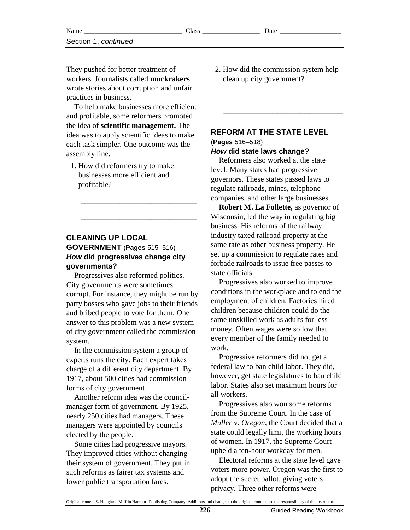They pushed for better treatment of workers. Journalists called **muckrakers** wrote stories about corruption and unfair practices in business.

To help make businesses more efficient and profitable, some reformers promoted the idea of **scientific management.** The idea was to apply scientific ideas to make each task simpler. One outcome was the assembly line.

 1. How did reformers try to make businesses more efficient and profitable?

\_\_\_\_\_\_\_\_\_\_\_\_\_\_\_\_\_\_\_\_\_\_\_\_\_\_\_\_\_\_

\_\_\_\_\_\_\_\_\_\_\_\_\_\_\_\_\_\_\_\_\_\_\_\_\_\_\_\_\_\_

#### **CLEANING UP LOCAL GOVERNMENT** (**Pages** 515–516) **How did progressives change city governments?**

Progressives also reformed politics. City governments were sometimes corrupt. For instance, they might be run by party bosses who gave jobs to their friends and bribed people to vote for them. One answer to this problem was a new system of city government called the commission system.

In the commission system a group of experts runs the city. Each expert takes charge of a different city department. By 1917, about 500 cities had commission forms of city government.

Another reform idea was the councilmanager form of government. By 1925, nearly 250 cities had managers. These managers were appointed by councils elected by the people.

Some cities had progressive mayors. They improved cities without changing their system of government. They put in such reforms as fairer tax systems and lower public transportation fares.

 2. How did the commission system help clean up city government?

\_\_\_\_\_\_\_\_\_\_\_\_\_\_\_\_\_\_\_\_\_\_\_\_\_\_\_\_\_\_\_

\_\_\_\_\_\_\_\_\_\_\_\_\_\_\_\_\_\_\_\_\_\_\_\_\_\_\_\_\_\_\_

#### **REFORM AT THE STATE LEVEL**  (**Pages** 516–518) **How did state laws change?**

Reformers also worked at the state level. Many states had progressive governors. These states passed laws to regulate railroads, mines, telephone companies, and other large businesses.

**Robert M. La Follette,** as governor of Wisconsin, led the way in regulating big business. His reforms of the railway industry taxed railroad property at the same rate as other business property. He set up a commission to regulate rates and forbade railroads to issue free passes to state officials.

Progressives also worked to improve conditions in the workplace and to end the employment of children. Factories hired children because children could do the same unskilled work as adults for less money. Often wages were so low that every member of the family needed to work.

Progressive reformers did not get a federal law to ban child labor. They did, however, get state legislatures to ban child labor. States also set maximum hours for all workers.

Progressives also won some reforms from the Supreme Court. In the case of *Muller* v. *Oregon*, the Court decided that a state could legally limit the working hours of women. In 1917, the Supreme Court upheld a ten-hour workday for men.

Electoral reforms at the state level gave voters more power. Oregon was the first to adopt the secret ballot, giving voters privacy. Three other reforms were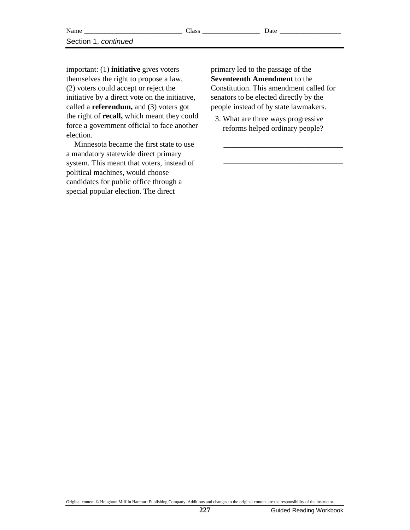| $N_2$                | Class            | Jate            |
|----------------------|------------------|-----------------|
| Name                 | ________________ | _______________ |
| Section<br>continued |                  |                 |

important: (1) **initiative** gives voters themselves the right to propose a law, (2) voters could accept or reject the initiative by a direct vote on the initiative, called a **referendum,** and (3) voters got the right of **recall,** which meant they could force a government official to face another election.

Minnesota became the first state to use a mandatory statewide direct primary system. This meant that voters, instead of political machines, would choose candidates for public office through a special popular election. The direct

primary led to the passage of the **Seventeenth Amendment** to the Constitution. This amendment called for senators to be elected directly by the people instead of by state lawmakers.

 3. What are three ways progressive reforms helped ordinary people?

\_\_\_\_\_\_\_\_\_\_\_\_\_\_\_\_\_\_\_\_\_\_\_\_\_\_\_\_\_\_\_

\_\_\_\_\_\_\_\_\_\_\_\_\_\_\_\_\_\_\_\_\_\_\_\_\_\_\_\_\_\_\_